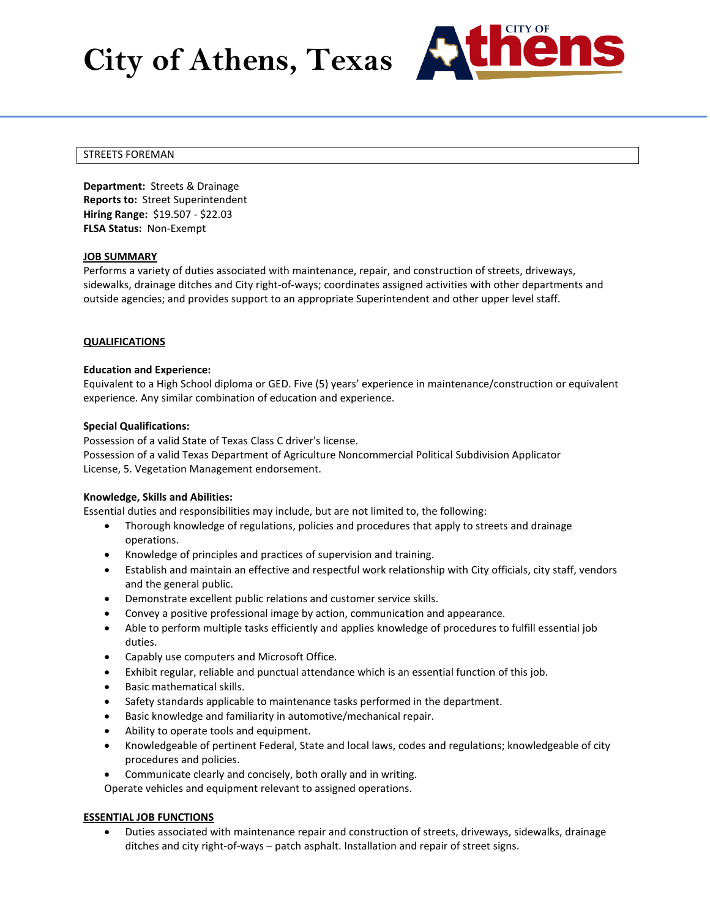# **City of Athens, Texas**



## STREETS FOREMAN

**Department:** Streets & Drainage **Reports to:** Street Superintendent **Hiring Range:** \$19.507 - \$22.03 **FLSA Status:** Non-Exempt

## **JOB SUMMARY**

Performs a variety of duties associated with maintenance, repair, and construction of streets, driveways, sidewalks, drainage ditches and City right-of-ways; coordinates assigned activities with other departments and outside agencies; and provides support to an appropriate Superintendent and other upper level staff.

## **QUALIFICATIONS**

## **Education and Experience:**

Equivalent to a High School diploma or GED. Five (5) years' experience in maintenance/construction or equivalent experience. Any similar combination of education and experience.

#### **Special Qualifications:**

Possession of a valid State of Texas Class C driver's license. Possession of a valid Texas Department of Agriculture Noncommercial Political Subdivision Applicator License, 5. Vegetation Management endorsement.

#### **Knowledge, Skills and Abilities:**

Essential duties and responsibilities may include, but are not limited to, the following:

- Thorough knowledge of regulations, policies and procedures that apply to streets and drainage operations.
- Knowledge of principles and practices of supervision and training.
- Establish and maintain an effective and respectful work relationship with City officials, city staff, vendors and the general public.
- Demonstrate excellent public relations and customer service skills.
- Convey a positive professional image by action, communication and appearance.
- Able to perform multiple tasks efficiently and applies knowledge of procedures to fulfill essential job duties.
- Capably use computers and Microsoft Office.
- Exhibit regular, reliable and punctual attendance which is an essential function of this job.
- Basic mathematical skills.
- Safety standards applicable to maintenance tasks performed in the department.
- Basic knowledge and familiarity in automotive/mechanical repair.
- Ability to operate tools and equipment.
- Knowledgeable of pertinent Federal, State and local laws, codes and regulations; knowledgeable of city procedures and policies.
- Communicate clearly and concisely, both orally and in writing.

Operate vehicles and equipment relevant to assigned operations.

# **ESSENTIAL JOB FUNCTIONS**

• Duties associated with maintenance repair and construction of streets, driveways, sidewalks, drainage ditches and city right-of-ways – patch asphalt. Installation and repair of street signs.